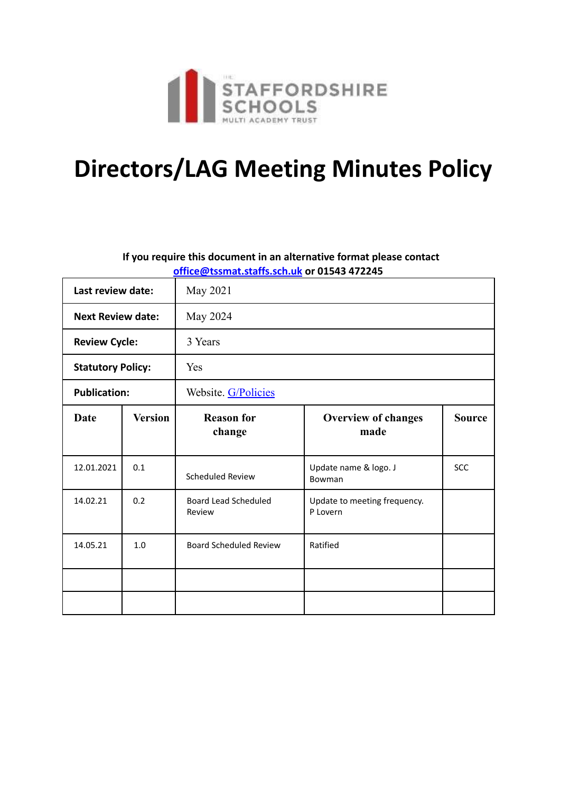

# **Directors/LAG Meeting Minutes Policy**

#### **If you require this document in an alternative format please contact office@tssmat.staffs.sch.uk or 01543 472245**

| Last review date:        |                | May 2021                              |                                          |               |
|--------------------------|----------------|---------------------------------------|------------------------------------------|---------------|
| <b>Next Review date:</b> |                | May 2024                              |                                          |               |
| <b>Review Cycle:</b>     |                | 3 Years                               |                                          |               |
| <b>Statutory Policy:</b> |                | Yes                                   |                                          |               |
| <b>Publication:</b>      |                | Website. G/Policies                   |                                          |               |
| <b>Date</b>              | <b>Version</b> | <b>Reason for</b><br>change           | <b>Overview of changes</b><br>made       | <b>Source</b> |
| 12.01.2021               | 0.1            | Scheduled Review                      | Update name & logo. J<br>Bowman          | <b>SCC</b>    |
| 14.02.21                 | 0.2            | <b>Board Lead Scheduled</b><br>Review | Update to meeting frequency.<br>P Lovern |               |
| 14.05.21                 | 1.0            | <b>Board Scheduled Review</b>         | Ratified                                 |               |
|                          |                |                                       |                                          |               |
|                          |                |                                       |                                          |               |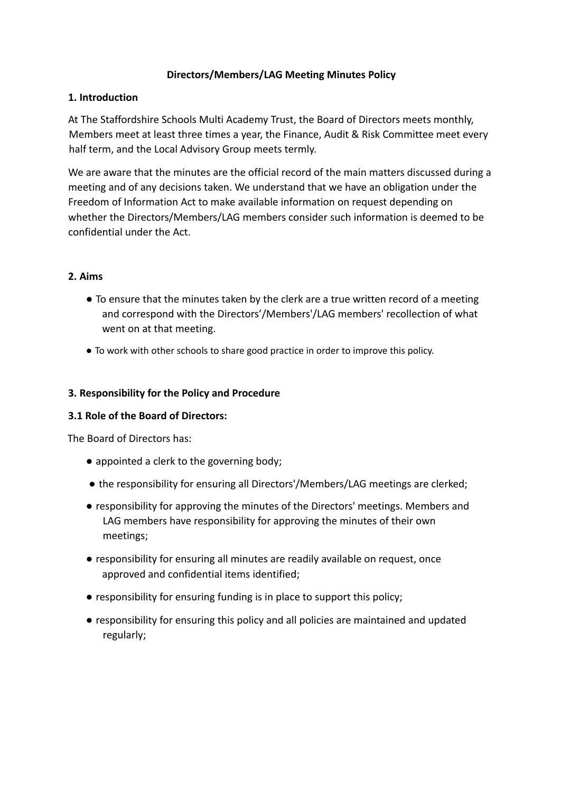#### **Directors/Members/LAG Meeting Minutes Policy**

#### **1. Introduction**

At The Staffordshire Schools Multi Academy Trust, the Board of Directors meets monthly, Members meet at least three times a year, the Finance, Audit & Risk Committee meet every half term, and the Local Advisory Group meets termly.

We are aware that the minutes are the official record of the main matters discussed during a meeting and of any decisions taken. We understand that we have an obligation under the Freedom of Information Act to make available information on request depending on whether the Directors/Members/LAG members consider such information is deemed to be confidential under the Act.

#### **2. Aims**

- To ensure that the minutes taken by the clerk are a true written record of a meeting and correspond with the Directors'/Members'/LAG members' recollection of what went on at that meeting.
- To work with other schools to share good practice in order to improve this policy.

#### **3. Responsibility for the Policy and Procedure**

## **3.1 Role of the Board of Directors:**

The Board of Directors has:

- appointed a clerk to the governing body;
- the responsibility for ensuring all Directors'/Members/LAG meetings are clerked;
- responsibility for approving the minutes of the Directors' meetings. Members and LAG members have responsibility for approving the minutes of their own meetings;
- responsibility for ensuring all minutes are readily available on request, once approved and confidential items identified;
- responsibility for ensuring funding is in place to support this policy;
- responsibility for ensuring this policy and all policies are maintained and updated regularly;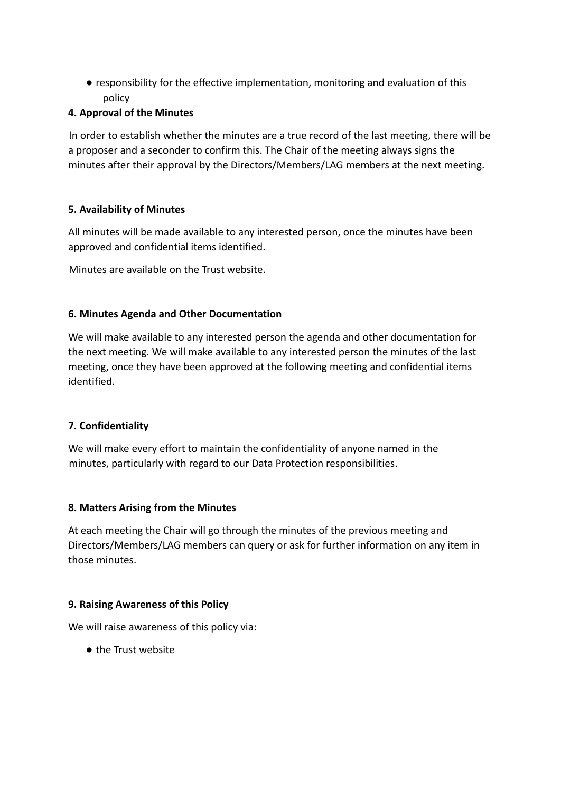● responsibility for the effective implementation, monitoring and evaluation of this policy

## **4. Approval of the Minutes**

In order to establish whether the minutes are a true record of the last meeting, there will be a proposer and a seconder to confirm this. The Chair of the meeting always signs the minutes after their approval by the Directors/Members/LAG members at the next meeting.

## **5. Availability of Minutes**

All minutes will be made available to any interested person, once the minutes have been approved and confidential items identified.

Minutes are available on the Trust website.

## **6. Minutes Agenda and Other Documentation**

We will make available to any interested person the agenda and other documentation for the next meeting. We will make available to any interested person the minutes of the last meeting, once they have been approved at the following meeting and confidential items identified.

## **7. Confidentiality**

We will make every effort to maintain the confidentiality of anyone named in the minutes, particularly with regard to our Data Protection responsibilities.

## **8. Matters Arising from the Minutes**

At each meeting the Chair will go through the minutes of the previous meeting and Directors/Members/LAG members can query or ask for further information on any item in those minutes.

## **9. Raising Awareness of this Policy**

We will raise awareness of this policy via:

● the Trust website